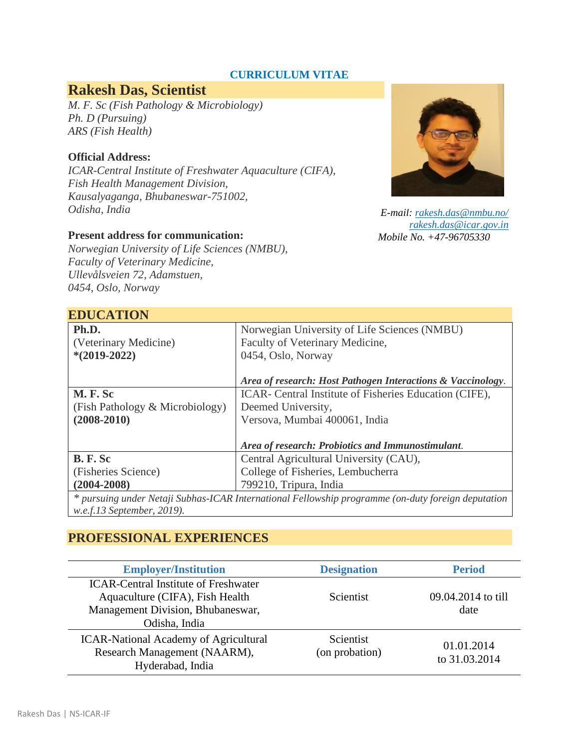### **CURRICULUM VITAE**

# **Rakesh Das, Scientist**

*M. F. Sc (Fish Pathology & Microbiology) Ph. D (Pursuing) ARS (Fish Health)*

#### **Official Address:**

*ICAR-Central Institute of Freshwater Aquaculture (CIFA), Fish Health Management Division, Kausalyaganga, Bhubaneswar-751002, Odisha, India*

#### **Present address for communication:**

*Norwegian University of Life Sciences (NMBU), Faculty of Veterinary Medicine, Ullevålsveien 72, Adamstuen, 0454, Oslo, Norway*



*E-mail: [rakesh.das@nmbu.no/](mailto:rakesh.das@nmbu.no/) [rakesh.das@icar.gov.in](mailto:rakesh.das@icar.gov.in) Mobile No. +47-96705330* 

| <b>EDUCATION</b>                                                                                   |                                                             |  |
|----------------------------------------------------------------------------------------------------|-------------------------------------------------------------|--|
| Ph.D.                                                                                              | Norwegian University of Life Sciences (NMBU)                |  |
| (Veterinary Medicine)                                                                              | Faculty of Veterinary Medicine,                             |  |
| $*(2019-2022)$                                                                                     | 0454, Oslo, Norway                                          |  |
|                                                                                                    |                                                             |  |
|                                                                                                    | Area of research: Host Pathogen Interactions & Vaccinology. |  |
| <b>M.F.Sc</b>                                                                                      | ICAR- Central Institute of Fisheries Education (CIFE),      |  |
| (Fish Pathology & Microbiology)                                                                    | Deemed University,                                          |  |
| $(2008 - 2010)$                                                                                    | Versova, Mumbai 400061, India                               |  |
|                                                                                                    |                                                             |  |
|                                                                                                    | Area of research: Probiotics and Immunostimulant.           |  |
| <b>B. F. Sc</b>                                                                                    | Central Agricultural University (CAU),                      |  |
| (Fisheries Science)                                                                                | College of Fisheries, Lembucherra                           |  |
| $(2004 - 2008)$                                                                                    | 799210, Tripura, India                                      |  |
| * pursuing under Netaji Subhas-ICAR International Fellowship programme (on-duty foreign deputation |                                                             |  |
| w.e.f.13 September, 2019).                                                                         |                                                             |  |

## **PROFESSIONAL EXPERIENCES**

| <b>Employer/Institution</b>                                                                                                          | <b>Designation</b>          | <b>Period</b>               |
|--------------------------------------------------------------------------------------------------------------------------------------|-----------------------------|-----------------------------|
| <b>ICAR-Central Institute of Freshwater</b><br>Aquaculture (CIFA), Fish Health<br>Management Division, Bhubaneswar,<br>Odisha, India | <b>Scientist</b>            | 09.04.2014 to till<br>date  |
| <b>ICAR-National Academy of Agricultural</b><br>Research Management (NAARM),<br>Hyderabad, India                                     | Scientist<br>(on probation) | 01.01.2014<br>to 31.03.2014 |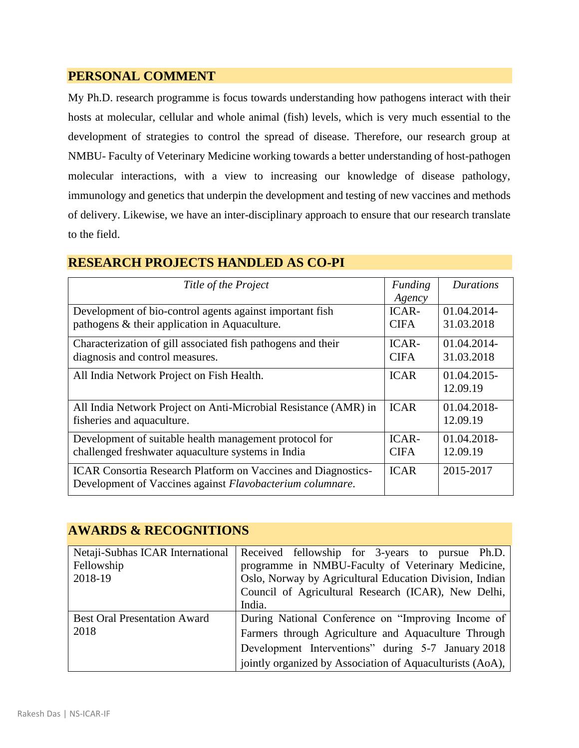## **PERSONAL COMMENT**

My Ph.D. research programme is focus towards understanding how pathogens interact with their hosts at molecular, cellular and whole animal (fish) levels, which is very much essential to the development of strategies to control the spread of disease. Therefore, our research group at NMBU- Faculty of Veterinary Medicine working towards a better understanding of host-pathogen molecular interactions, with a view to increasing our knowledge of disease pathology, immunology and genetics that underpin the development and testing of new vaccines and methods of delivery. Likewise, we have an inter-disciplinary approach to ensure that our research translate to the field.

## **RESEARCH PROJECTS HANDLED AS CO-PI**

| Title of the Project                                                                                                              | Funding<br>Agency | Durations               |
|-----------------------------------------------------------------------------------------------------------------------------------|-------------------|-------------------------|
| Development of bio-control agents against important fish                                                                          | ICAR-             | 01.04.2014-             |
| pathogens & their application in Aquaculture.                                                                                     | <b>CIFA</b>       | 31.03.2018              |
| Characterization of gill associated fish pathogens and their                                                                      |                   | 01.04.2014-             |
| diagnosis and control measures.                                                                                                   |                   | 31.03.2018              |
| All India Network Project on Fish Health.                                                                                         | <b>ICAR</b>       | 01.04.2015-<br>12.09.19 |
| All India Network Project on Anti-Microbial Resistance (AMR) in                                                                   |                   | 01.04.2018-             |
| fisheries and aquaculture.                                                                                                        |                   | 12.09.19                |
| Development of suitable health management protocol for                                                                            |                   | 01.04.2018-             |
| challenged freshwater aquaculture systems in India                                                                                |                   | 12.09.19                |
| <b>ICAR Consortia Research Platform on Vaccines and Diagnostics-</b><br>Development of Vaccines against Flavobacterium columnare. |                   | 2015-2017               |

## **AWARDS & RECOGNITIONS**

| Netaji-Subhas ICAR International    | Received fellowship for 3-years to pursue Ph.D.           |
|-------------------------------------|-----------------------------------------------------------|
| Fellowship                          | programme in NMBU-Faculty of Veterinary Medicine,         |
| 2018-19                             | Oslo, Norway by Agricultural Education Division, Indian   |
|                                     | Council of Agricultural Research (ICAR), New Delhi,       |
|                                     | India.                                                    |
| <b>Best Oral Presentation Award</b> | During National Conference on "Improving Income of        |
| 2018                                | Farmers through Agriculture and Aquaculture Through       |
|                                     | Development Interventions" during 5-7 January 2018        |
|                                     | jointly organized by Association of Aquaculturists (AoA), |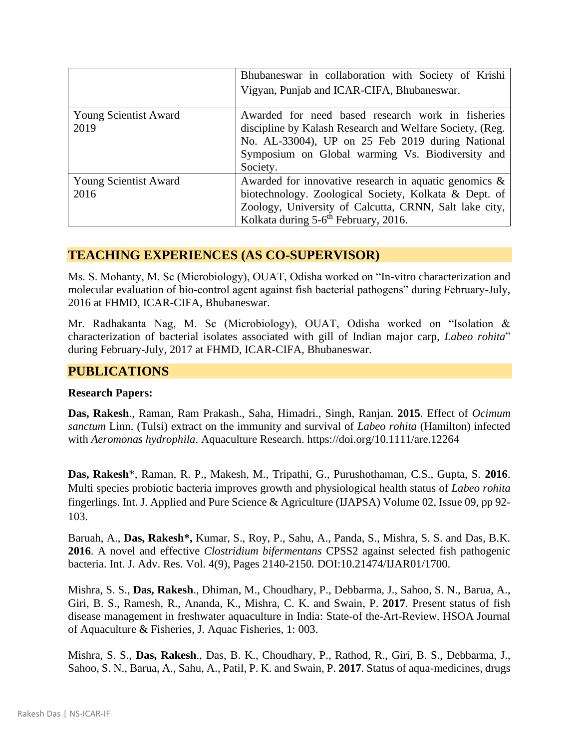|                                      | Bhubaneswar in collaboration with Society of Krishi<br>Vigyan, Punjab and ICAR-CIFA, Bhubaneswar.                                                                                                                                 |
|--------------------------------------|-----------------------------------------------------------------------------------------------------------------------------------------------------------------------------------------------------------------------------------|
| <b>Young Scientist Award</b><br>2019 | Awarded for need based research work in fisheries<br>discipline by Kalash Research and Welfare Society, (Reg.<br>No. AL-33004), UP on 25 Feb 2019 during National<br>Symposium on Global warming Vs. Biodiversity and<br>Society. |
| <b>Young Scientist Award</b><br>2016 | Awarded for innovative research in aquatic genomics $\&$<br>biotechnology. Zoological Society, Kolkata & Dept. of<br>Zoology, University of Calcutta, CRNN, Salt lake city,<br>Kolkata during 5-6 <sup>th</sup> February, 2016.   |

#### **TEACHING EXPERIENCES (AS CO-SUPERVISOR)**

Ms. S. Mohanty, M. Sc (Microbiology), OUAT, Odisha worked on "In-vitro characterization and molecular evaluation of bio-control agent against fish bacterial pathogens" during February-July, 2016 at FHMD, ICAR-CIFA, Bhubaneswar.

Mr. Radhakanta Nag, M. Sc (Microbiology), OUAT, Odisha worked on "Isolation & characterization of bacterial isolates associated with gill of Indian major carp, *Labeo rohita*" during February-July, 2017 at FHMD, ICAR-CIFA, Bhubaneswar.

#### **PUBLICATIONS**

#### **Research Papers:**

**Das, Rakesh**., Raman, Ram Prakash., Saha, Himadri., Singh, Ranjan. **2015**. Effect of *Ocimum sanctum* Linn. (Tulsi) extract on the immunity and survival of *Labeo rohita* (Hamilton) infected with *Aeromonas hydrophila*. Aquaculture Research. https://doi.org/10.1111/are.12264

**Das, Rakesh**\*, Raman, R. P., Makesh, M., Tripathi, G., Purushothaman, C.S., Gupta, S. **2016**. Multi species probiotic bacteria improves growth and physiological health status of *Labeo rohita*  fingerlings. Int. J. Applied and Pure Science & Agriculture (IJAPSA) Volume 02, Issue 09, pp 92- 103.

Baruah, A., **Das, Rakesh\*,** Kumar, S., Roy, P., Sahu, A., Panda, S., Mishra, S. S. and Das, B.K. **2016**. A novel and effective *Clostridium bifermentans* CPSS2 against selected fish pathogenic bacteria. Int. J. Adv. Res. Vol. 4(9), Pages 2140-2150*.* DOI:10.21474/IJAR01/1700.

Mishra, S. S., **Das, Rakesh**., Dhiman, M., Choudhary, P., Debbarma, J., Sahoo, S. N., Barua, A., Giri, B. S., Ramesh, R., Ananda, K., Mishra, C. K. and Swain, P. **2017**. Present status of fish disease management in freshwater aquaculture in India: State-of the-Art-Review. HSOA Journal of Aquaculture & Fisheries, J. Aquac Fisheries, 1: 003.

Mishra, S. S., **Das, Rakesh**., Das, B. K., Choudhary, P., Rathod, R., Giri, B. S., Debbarma, J., Sahoo, S. N., Barua, A., Sahu, A., Patil, P. K. and Swain, P. **2017**. Status of aqua-medicines, drugs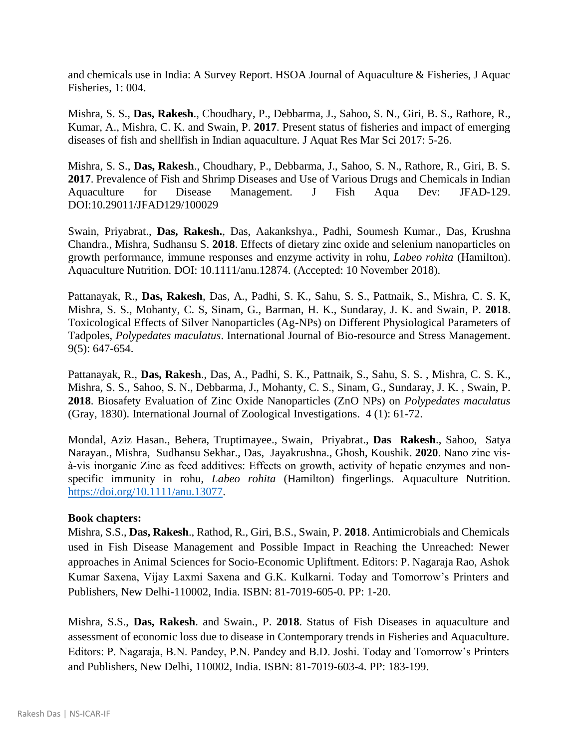and chemicals use in India: A Survey Report. HSOA Journal of Aquaculture & Fisheries, J Aquac Fisheries, 1: 004.

Mishra, S. S., **Das, Rakesh**., Choudhary, P., Debbarma, J., Sahoo, S. N., Giri, B. S., Rathore, R., Kumar, A., Mishra, C. K. and Swain, P. **2017**. Present status of fisheries and impact of emerging diseases of fish and shellfish in Indian aquaculture. J Aquat Res Mar Sci 2017: 5-26.

Mishra, S. S., **Das, Rakesh**., Choudhary, P., Debbarma, J., Sahoo, S. N., Rathore, R., Giri, B. S. **2017**. Prevalence of Fish and Shrimp Diseases and Use of Various Drugs and Chemicals in Indian Aquaculture for Disease Management. J Fish Aqua Dev: JFAD-129. DOI:10.29011/JFAD129/100029

Swain, Priyabrat., **Das, Rakesh.**, Das, Aakankshya., Padhi, Soumesh Kumar., Das, Krushna Chandra., Mishra, Sudhansu S. **2018**. Effects of dietary zinc oxide and selenium nanoparticles on growth performance, immune responses and enzyme activity in rohu*, Labeo rohita* (Hamilton). Aquaculture Nutrition. DOI: 10.1111/anu.12874. (Accepted: 10 November 2018).

Pattanayak, R., **Das, Rakesh**, Das, A., Padhi, S. K., Sahu, S. S., Pattnaik, S., Mishra, C. S. K, Mishra, S. S., Mohanty, C. S, Sinam, G., Barman, H. K., Sundaray, J. K. and Swain, P. **2018**. Toxicological Effects of Silver Nanoparticles (Ag-NPs) on Different Physiological Parameters of Tadpoles, *Polypedates maculatus*. International Journal of Bio-resource and Stress Management. 9(5): 647-654.

Pattanayak, R., **Das, Rakesh**., Das, A., Padhi, S. K., Pattnaik, S., Sahu, S. S. , Mishra, C. S. K., Mishra, S. S., Sahoo, S. N., Debbarma, J., Mohanty, C. S., Sinam, G., Sundaray, J. K. , Swain, P. **2018**. Biosafety Evaluation of Zinc Oxide Nanoparticles (ZnO NPs) on *Polypedates maculatus* (Gray, 1830). International Journal of Zoological Investigations. 4 (1): 61-72.

Mondal, Aziz Hasan., Behera, Truptimayee., Swain, Priyabrat., **Das Rakesh**., Sahoo, Satya Narayan., Mishra, Sudhansu Sekhar., Das, Jayakrushna., Ghosh, Koushik. **2020**. Nano zinc vis‐ à‐vis inorganic Zinc as feed additives: Effects on growth, activity of hepatic enzymes and non‐ specific immunity in rohu, *Labeo rohita* (Hamilton) fingerlings. Aquaculture Nutrition. [https://doi.org/10.1111/anu.13077.](https://doi.org/10.1111/anu.13077)

#### **Book chapters:**

Mishra, S.S., **Das, Rakesh**., Rathod, R., Giri, B.S., Swain, P. **2018**. Antimicrobials and Chemicals used in Fish Disease Management and Possible Impact in Reaching the Unreached: Newer approaches in Animal Sciences for Socio-Economic Upliftment. Editors: P. Nagaraja Rao, Ashok Kumar Saxena, Vijay Laxmi Saxena and G.K. Kulkarni. Today and Tomorrow's Printers and Publishers, New Delhi-110002, India. ISBN: 81-7019-605-0. PP: 1-20.

Mishra, S.S., **Das, Rakesh**. and Swain., P. **2018**. Status of Fish Diseases in aquaculture and assessment of economic loss due to disease in Contemporary trends in Fisheries and Aquaculture. Editors: P. Nagaraja, B.N. Pandey, P.N. Pandey and B.D. Joshi. Today and Tomorrow's Printers and Publishers, New Delhi, 110002, India. ISBN: 81-7019-603-4. PP: 183-199.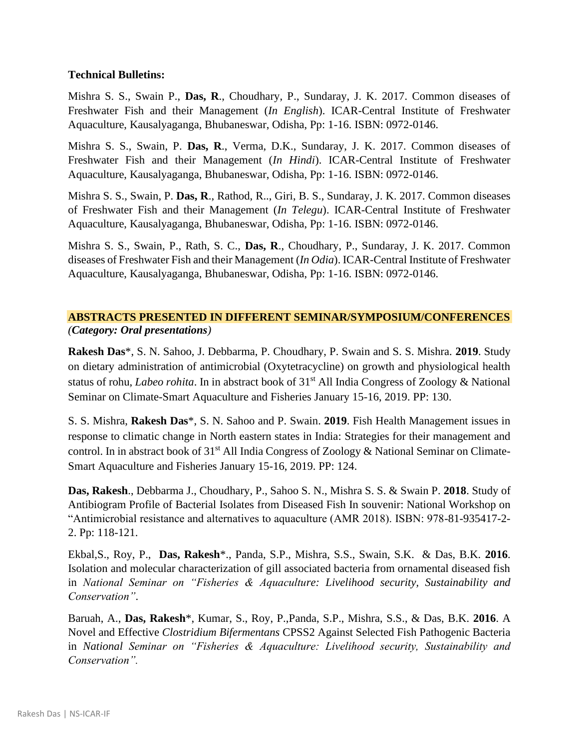#### **Technical Bulletins:**

Mishra S. S., Swain P., **Das, R**., Choudhary, P., Sundaray, J. K. 2017. Common diseases of Freshwater Fish and their Management (*In English*). ICAR-Central Institute of Freshwater Aquaculture, Kausalyaganga, Bhubaneswar, Odisha, Pp: 1-16. ISBN: 0972-0146.

Mishra S. S., Swain, P. **Das, R**., Verma, D.K., Sundaray, J. K. 2017. Common diseases of Freshwater Fish and their Management (*In Hindi*). ICAR-Central Institute of Freshwater Aquaculture, Kausalyaganga, Bhubaneswar, Odisha, Pp: 1-16. ISBN: 0972-0146.

Mishra S. S., Swain, P. **Das, R**., Rathod, R.., Giri, B. S., Sundaray, J. K. 2017. Common diseases of Freshwater Fish and their Management (*In Telegu*). ICAR-Central Institute of Freshwater Aquaculture, Kausalyaganga, Bhubaneswar, Odisha, Pp: 1-16. ISBN: 0972-0146.

Mishra S. S., Swain, P., Rath, S. C., **Das, R**., Choudhary, P., Sundaray, J. K. 2017. Common diseases of Freshwater Fish and their Management (*In Odia*). ICAR-Central Institute of Freshwater Aquaculture, Kausalyaganga, Bhubaneswar, Odisha, Pp: 1-16. ISBN: 0972-0146.

#### **ABSTRACTS PRESENTED IN DIFFERENT SEMINAR/SYMPOSIUM/CONFERENCES** *(Category: Oral presentations)*

**Rakesh Das**\*, S. N. Sahoo, J. Debbarma, P. Choudhary, P. Swain and S. S. Mishra. **2019**. Study on dietary administration of antimicrobial (Oxytetracycline) on growth and physiological health status of rohu, *Labeo rohita*. In in abstract book of 31st All India Congress of Zoology & National Seminar on Climate-Smart Aquaculture and Fisheries January 15-16, 2019. PP: 130.

S. S. Mishra, **Rakesh Das**\*, S. N. Sahoo and P. Swain. **2019**. Fish Health Management issues in response to climatic change in North eastern states in India: Strategies for their management and control. In in abstract book of 31<sup>st</sup> All India Congress of Zoology & National Seminar on Climate-Smart Aquaculture and Fisheries January 15-16, 2019. PP: 124.

**Das, Rakesh**., Debbarma J., Choudhary, P., Sahoo S. N., Mishra S. S. & Swain P. **2018**. Study of Antibiogram Profile of Bacterial Isolates from Diseased Fish In souvenir: National Workshop on "Antimicrobial resistance and alternatives to aquaculture (AMR 2018). ISBN: 978-81-935417-2- 2. Pp: 118-121.

Ekbal,S., Roy, P., **Das, Rakesh**\*., Panda, S.P., Mishra, S.S., Swain, S.K. & Das, B.K. **2016**. Isolation and molecular characterization of gill associated bacteria from ornamental diseased fish in *National Seminar on "Fisheries & Aquaculture: Livelihood security, Sustainability and Conservation"*.

Baruah, A., **Das, Rakesh**\*, Kumar, S., Roy, P.,Panda, S.P., Mishra, S.S., & Das, B.K. **2016**. A Novel and Effective *Clostridium Bifermentans* CPSS2 Against Selected Fish Pathogenic Bacteria in *National Seminar on "Fisheries & Aquaculture: Livelihood security, Sustainability and Conservation".*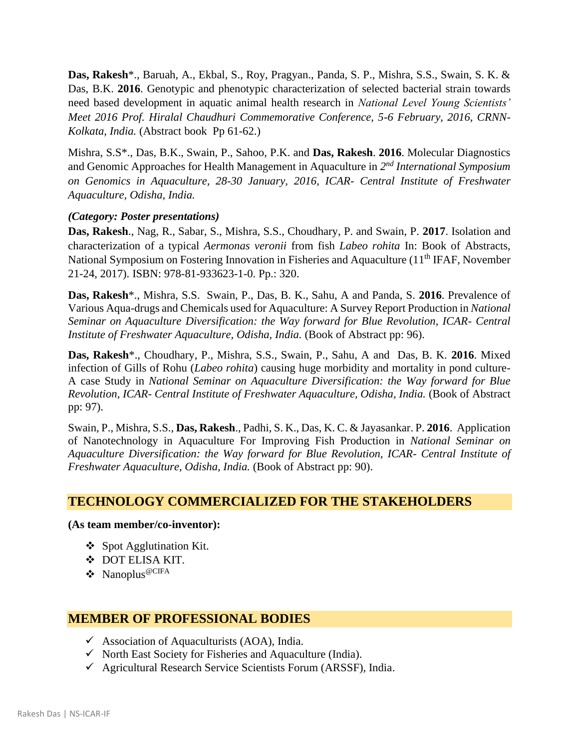**Das, Rakesh**\*., Baruah, A., Ekbal, S., Roy, Pragyan., Panda, S. P., Mishra, S.S., Swain, S. K. & Das, B.K. **2016**. Genotypic and phenotypic characterization of selected bacterial strain towards need based development in aquatic animal health research in *National Level Young Scientists' Meet 2016 Prof. Hiralal Chaudhuri Commemorative Conference, 5-6 February, 2016, CRNN-Kolkata, India.* (Abstract book Pp 61-62.)

Mishra, S.S\*., Das, B.K., Swain, P., Sahoo, P.K. and **Das, Rakesh**. **2016**. Molecular Diagnostics and Genomic Approaches for Health Management in Aquaculture in 2<sup>nd</sup> International Symposium *on Genomics in Aquaculture, 28-30 January, 2016, ICAR- Central Institute of Freshwater Aquaculture, Odisha, India.*

#### *(Category: Poster presentations)*

**Das, Rakesh**., Nag, R., Sabar, S., Mishra, S.S., Choudhary, P. and Swain, P. **2017**. Isolation and characterization of a typical *Aermonas veronii* from fish *Labeo rohita* In: Book of Abstracts, National Symposium on Fostering Innovation in Fisheries and Aquaculture (11<sup>th</sup> IFAF, November 21-24, 2017). ISBN: 978-81-933623-1-0. Pp.: 320.

**Das, Rakesh**\*., Mishra, S.S. Swain, P., Das, B. K., Sahu, A and Panda, S. **2016**. Prevalence of Various Aqua-drugs and Chemicals used for Aquaculture: A Survey Report Production in *National Seminar on Aquaculture Diversification: the Way forward for Blue Revolution, ICAR- Central Institute of Freshwater Aquaculture, Odisha, India.* (Book of Abstract pp: 96).

**Das, Rakesh**\*., Choudhary, P., Mishra, S.S., Swain, P., Sahu, A and Das, B. K. **2016**. Mixed infection of Gills of Rohu (*Labeo rohita*) causing huge morbidity and mortality in pond culture-A case Study in *National Seminar on Aquaculture Diversification: the Way forward for Blue Revolution, ICAR- Central Institute of Freshwater Aquaculture, Odisha, India.* (Book of Abstract pp: 97).

Swain, P., Mishra, S.S., **Das, Rakesh**., Padhi, S. K., Das, K. C. & Jayasankar. P. **2016**. Application of Nanotechnology in Aquaculture For Improving Fish Production in *National Seminar on Aquaculture Diversification: the Way forward for Blue Revolution, ICAR- Central Institute of Freshwater Aquaculture, Odisha, India.* (Book of Abstract pp: 90).

## **TECHNOLOGY COMMERCIALIZED FOR THE STAKEHOLDERS**

#### **(As team member/co-inventor):**

- ❖ Spot Agglutination Kit.
- ❖ DOT ELISA KIT.
- ❖ Nanoplus@CIFA

## **MEMBER OF PROFESSIONAL BODIES**

- $\checkmark$  Association of Aquaculturists (AOA), India.
- ✓ North East Society for Fisheries and Aquaculture (India).
- $\checkmark$  Agricultural Research Service Scientists Forum (ARSSF), India.